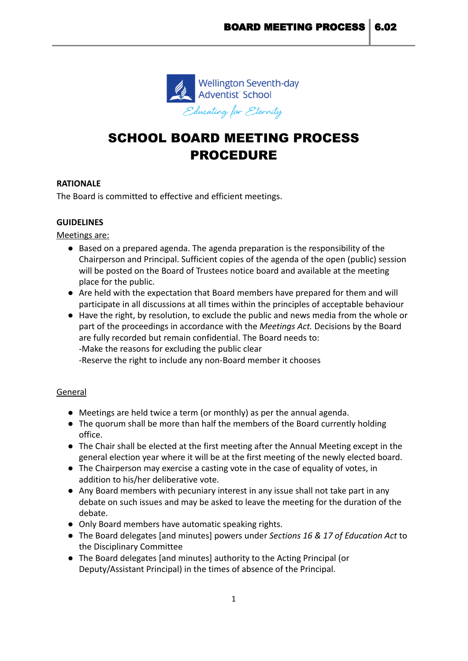

# SCHOOL BOARD MEETING PROCESS PROCEDURE

# **RATIONALE**

The Board is committed to effective and efficient meetings.

# **GUIDELINES**

Meetings are:

- Based on a prepared agenda. The agenda preparation is the responsibility of the Chairperson and Principal. Sufficient copies of the agenda of the open (public) session will be posted on the Board of Trustees notice board and available at the meeting place for the public.
- Are held with the expectation that Board members have prepared for them and will participate in all discussions at all times within the principles of acceptable behaviour
- Have the right, by resolution, to exclude the public and news media from the whole or part of the proceedings in accordance with the *Meetings Act.* Decisions by the Board are fully recorded but remain confidential. The Board needs to: -Make the reasons for excluding the public clear -Reserve the right to include any non-Board member it chooses

# General

- Meetings are held twice a term (or monthly) as per the annual agenda.
- The quorum shall be more than half the members of the Board currently holding office.
- The Chair shall be elected at the first meeting after the Annual Meeting except in the general election year where it will be at the first meeting of the newly elected board.
- The Chairperson may exercise a casting vote in the case of equality of votes, in addition to his/her deliberative vote.
- Any Board members with pecuniary interest in any issue shall not take part in any debate on such issues and may be asked to leave the meeting for the duration of the debate.
- Only Board members have automatic speaking rights.
- The Board delegates [and minutes] powers under *Sections 16 & 17 of Education Act* to the Disciplinary Committee
- The Board delegates [and minutes] authority to the Acting Principal (or Deputy/Assistant Principal) in the times of absence of the Principal.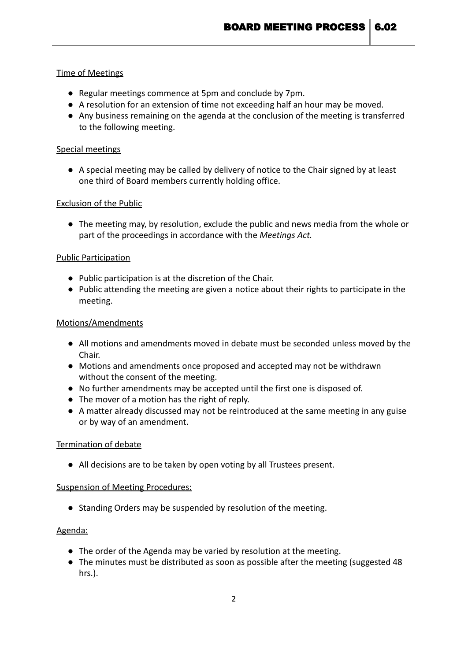## Time of Meetings

- Regular meetings commence at 5pm and conclude by 7pm.
- A resolution for an extension of time not exceeding half an hour may be moved.
- Any business remaining on the agenda at the conclusion of the meeting is transferred to the following meeting.

## Special meetings

**●** A special meeting may be called by delivery of notice to the Chair signed by at least one third of Board members currently holding office.

## Exclusion of the Public

● The meeting may, by resolution, exclude the public and news media from the whole or part of the proceedings in accordance with the *Meetings Act.*

## Public Participation

- Public participation is at the discretion of the Chair.
- Public attending the meeting are given a notice about their rights to participate in the meeting.

## Motions/Amendments

- All motions and amendments moved in debate must be seconded unless moved by the Chair.
- Motions and amendments once proposed and accepted may not be withdrawn without the consent of the meeting.
- No further amendments may be accepted until the first one is disposed of.
- The mover of a motion has the right of reply.
- A matter already discussed may not be reintroduced at the same meeting in any guise or by way of an amendment.

#### Termination of debate

**●** All decisions are to be taken by open voting by all Trustees present.

#### Suspension of Meeting Procedures:

● Standing Orders may be suspended by resolution of the meeting.

# Agenda:

- The order of the Agenda may be varied by resolution at the meeting.
- The minutes must be distributed as soon as possible after the meeting (suggested 48 hrs.).